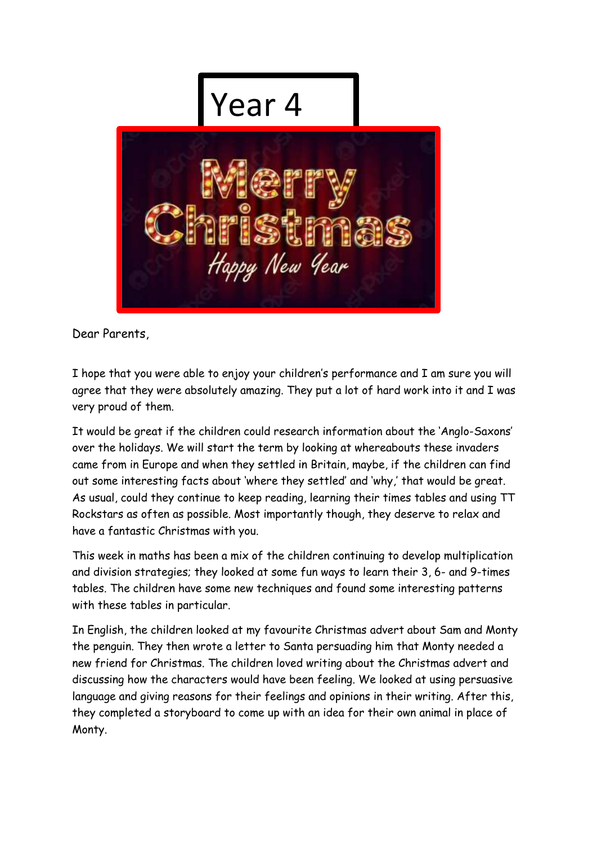

Dear Parents,

I hope that you were able to enjoy your children's performance and I am sure you will agree that they were absolutely amazing. They put a lot of hard work into it and I was very proud of them.

It would be great if the children could research information about the 'Anglo-Saxons' over the holidays. We will start the term by looking at whereabouts these invaders came from in Europe and when they settled in Britain, maybe, if the children can find out some interesting facts about 'where they settled' and 'why,' that would be great. As usual, could they continue to keep reading, learning their times tables and using TT Rockstars as often as possible. Most importantly though, they deserve to relax and have a fantastic Christmas with you.

This week in maths has been a mix of the children continuing to develop multiplication and division strategies; they looked at some fun ways to learn their 3, 6- and 9-times tables. The children have some new techniques and found some interesting patterns with these tables in particular.

In English, the children looked at my favourite Christmas advert about Sam and Monty the penguin. They then wrote a letter to Santa persuading him that Monty needed a new friend for Christmas. The children loved writing about the Christmas advert and discussing how the characters would have been feeling. We looked at using persuasive language and giving reasons for their feelings and opinions in their writing. After this, they completed a storyboard to come up with an idea for their own animal in place of Monty.